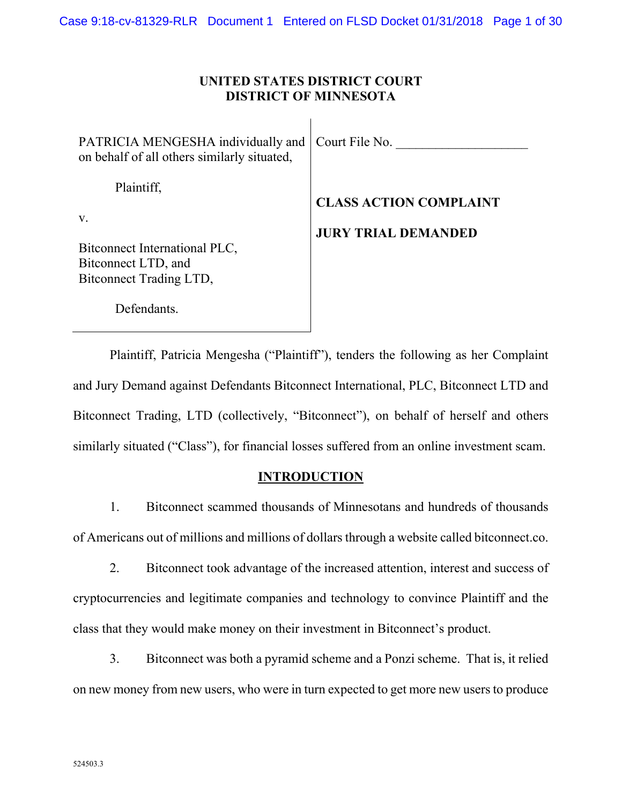## **UNITED STATES DISTRICT COURT DISTRICT OF MINNESOTA**

 $\mathsf{l}$ 

| PATRICIA MENGESHA individually and   Court File No.<br>on behalf of all others similarly situated,  |                                                             |
|-----------------------------------------------------------------------------------------------------|-------------------------------------------------------------|
| Plaintiff,<br>V.<br>Bitconnect International PLC,<br>Bitconnect LTD, and<br>Bitconnect Trading LTD, | <b>CLASS ACTION COMPLAINT</b><br><b>JURY TRIAL DEMANDED</b> |

Plaintiff, Patricia Mengesha ("Plaintiff"), tenders the following as her Complaint and Jury Demand against Defendants Bitconnect International, PLC, Bitconnect LTD and Bitconnect Trading, LTD (collectively, "Bitconnect"), on behalf of herself and others similarly situated ("Class"), for financial losses suffered from an online investment scam.

## **INTRODUCTION**

1. Bitconnect scammed thousands of Minnesotans and hundreds of thousands of Americans out of millions and millions of dollars through a website called bitconnect.co.

2. Bitconnect took advantage of the increased attention, interest and success of cryptocurrencies and legitimate companies and technology to convince Plaintiff and the class that they would make money on their investment in Bitconnect's product.

3. Bitconnect was both a pyramid scheme and a Ponzi scheme. That is, it relied on new money from new users, who were in turn expected to get more new users to produce

Defendants.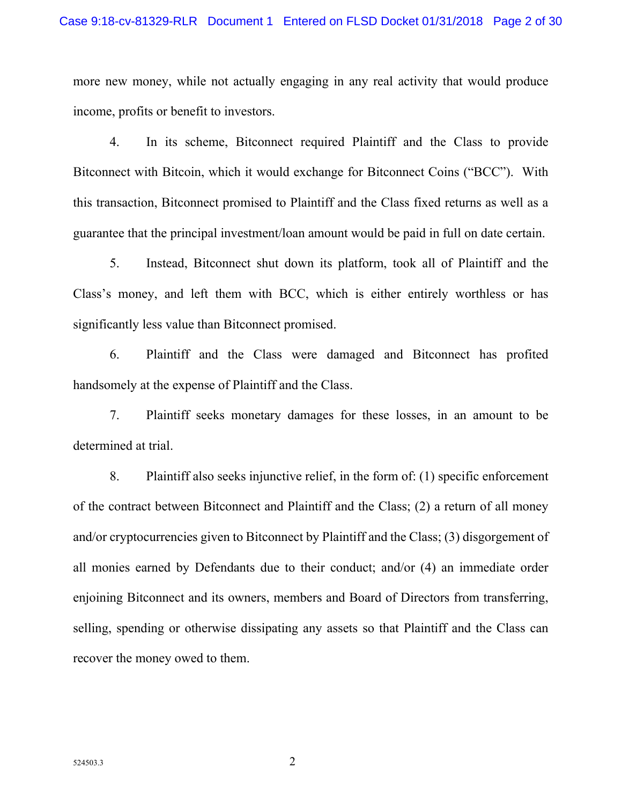more new money, while not actually engaging in any real activity that would produce income, profits or benefit to investors.

4. In its scheme, Bitconnect required Plaintiff and the Class to provide Bitconnect with Bitcoin, which it would exchange for Bitconnect Coins ("BCC"). With this transaction, Bitconnect promised to Plaintiff and the Class fixed returns as well as a guarantee that the principal investment/loan amount would be paid in full on date certain.

5. Instead, Bitconnect shut down its platform, took all of Plaintiff and the Class's money, and left them with BCC, which is either entirely worthless or has significantly less value than Bitconnect promised.

6. Plaintiff and the Class were damaged and Bitconnect has profited handsomely at the expense of Plaintiff and the Class.

7. Plaintiff seeks monetary damages for these losses, in an amount to be determined at trial.

8. Plaintiff also seeks injunctive relief, in the form of: (1) specific enforcement of the contract between Bitconnect and Plaintiff and the Class; (2) a return of all money and/or cryptocurrencies given to Bitconnect by Plaintiff and the Class; (3) disgorgement of all monies earned by Defendants due to their conduct; and/or (4) an immediate order enjoining Bitconnect and its owners, members and Board of Directors from transferring, selling, spending or otherwise dissipating any assets so that Plaintiff and the Class can recover the money owed to them.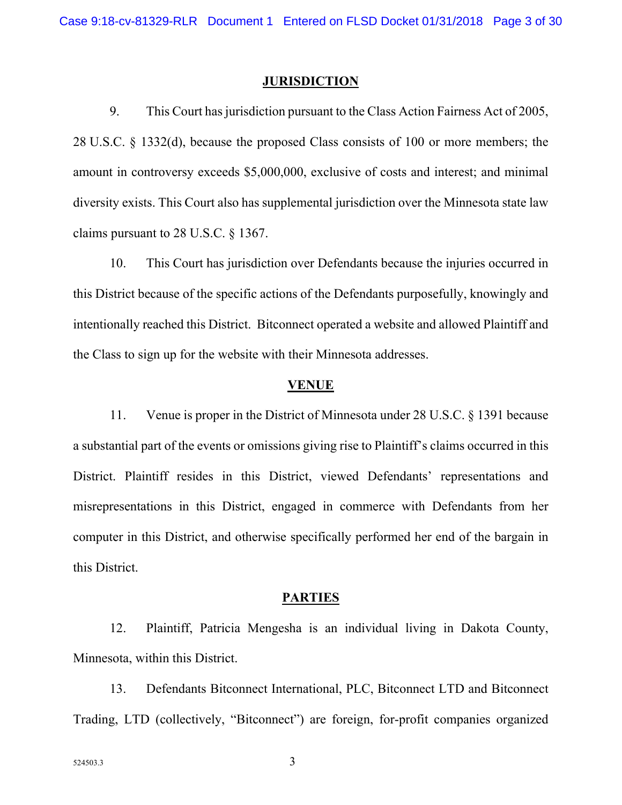#### **JURISDICTION**

9. This Court has jurisdiction pursuant to the Class Action Fairness Act of 2005, 28 U.S.C. § 1332(d), because the proposed Class consists of 100 or more members; the amount in controversy exceeds \$5,000,000, exclusive of costs and interest; and minimal diversity exists. This Court also has supplemental jurisdiction over the Minnesota state law claims pursuant to 28 U.S.C. § 1367.

10. This Court has jurisdiction over Defendants because the injuries occurred in this District because of the specific actions of the Defendants purposefully, knowingly and intentionally reached this District. Bitconnect operated a website and allowed Plaintiff and the Class to sign up for the website with their Minnesota addresses.

#### **VENUE**

11. Venue is proper in the District of Minnesota under 28 U.S.C. § 1391 because a substantial part of the events or omissions giving rise to Plaintiff's claims occurred in this District. Plaintiff resides in this District, viewed Defendants' representations and misrepresentations in this District, engaged in commerce with Defendants from her computer in this District, and otherwise specifically performed her end of the bargain in this District.

#### **PARTIES**

12. Plaintiff, Patricia Mengesha is an individual living in Dakota County, Minnesota, within this District.

13. Defendants Bitconnect International, PLC, Bitconnect LTD and Bitconnect Trading, LTD (collectively, "Bitconnect") are foreign, for-profit companies organized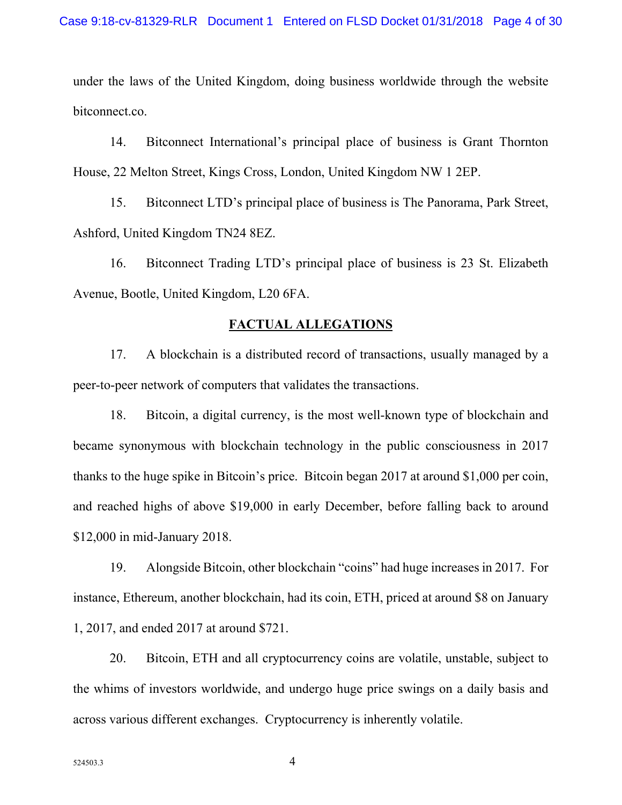under the laws of the United Kingdom, doing business worldwide through the website bitconnect.co.

14. Bitconnect International's principal place of business is Grant Thornton House, 22 Melton Street, Kings Cross, London, United Kingdom NW 1 2EP.

15. Bitconnect LTD's principal place of business is The Panorama, Park Street, Ashford, United Kingdom TN24 8EZ.

16. Bitconnect Trading LTD's principal place of business is 23 St. Elizabeth Avenue, Bootle, United Kingdom, L20 6FA.

#### **FACTUAL ALLEGATIONS**

17. A blockchain is a distributed record of transactions, usually managed by a peer-to-peer network of computers that validates the transactions.

18. Bitcoin, a digital currency, is the most well-known type of blockchain and became synonymous with blockchain technology in the public consciousness in 2017 thanks to the huge spike in Bitcoin's price. Bitcoin began 2017 at around \$1,000 per coin, and reached highs of above \$19,000 in early December, before falling back to around \$12,000 in mid-January 2018.

19. Alongside Bitcoin, other blockchain "coins" had huge increases in 2017. For instance, Ethereum, another blockchain, had its coin, ETH, priced at around \$8 on January 1, 2017, and ended 2017 at around \$721.

20. Bitcoin, ETH and all cryptocurrency coins are volatile, unstable, subject to the whims of investors worldwide, and undergo huge price swings on a daily basis and across various different exchanges. Cryptocurrency is inherently volatile.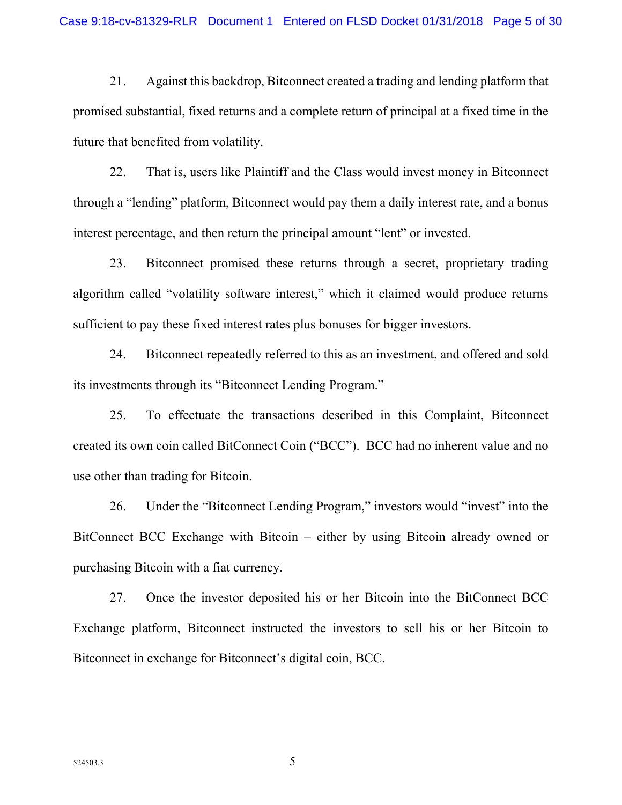21. Against this backdrop, Bitconnect created a trading and lending platform that promised substantial, fixed returns and a complete return of principal at a fixed time in the future that benefited from volatility.

22. That is, users like Plaintiff and the Class would invest money in Bitconnect through a "lending" platform, Bitconnect would pay them a daily interest rate, and a bonus interest percentage, and then return the principal amount "lent" or invested.

23. Bitconnect promised these returns through a secret, proprietary trading algorithm called "volatility software interest," which it claimed would produce returns sufficient to pay these fixed interest rates plus bonuses for bigger investors.

24. Bitconnect repeatedly referred to this as an investment, and offered and sold its investments through its "Bitconnect Lending Program."

25. To effectuate the transactions described in this Complaint, Bitconnect created its own coin called BitConnect Coin ("BCC"). BCC had no inherent value and no use other than trading for Bitcoin.

26. Under the "Bitconnect Lending Program," investors would "invest" into the BitConnect BCC Exchange with Bitcoin – either by using Bitcoin already owned or purchasing Bitcoin with a fiat currency.

27. Once the investor deposited his or her Bitcoin into the BitConnect BCC Exchange platform, Bitconnect instructed the investors to sell his or her Bitcoin to Bitconnect in exchange for Bitconnect's digital coin, BCC.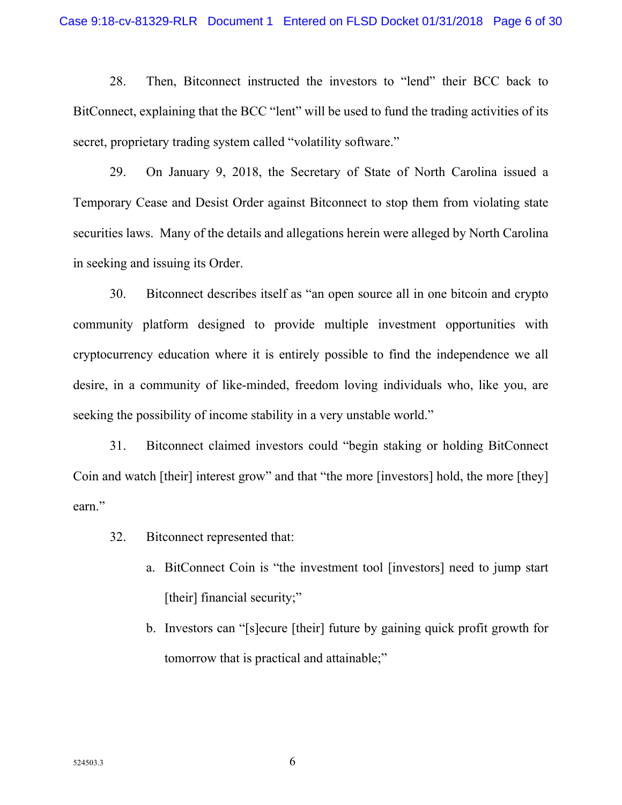28. Then, Bitconnect instructed the investors to "lend" their BCC back to BitConnect, explaining that the BCC "lent" will be used to fund the trading activities of its secret, proprietary trading system called "volatility software."

29. On January 9, 2018, the Secretary of State of North Carolina issued a Temporary Cease and Desist Order against Bitconnect to stop them from violating state securities laws. Many of the details and allegations herein were alleged by North Carolina in seeking and issuing its Order.

30. Bitconnect describes itself as "an open source all in one bitcoin and crypto community platform designed to provide multiple investment opportunities with cryptocurrency education where it is entirely possible to find the independence we all desire, in a community of like-minded, freedom loving individuals who, like you, are seeking the possibility of income stability in a very unstable world."

31. Bitconnect claimed investors could "begin staking or holding BitConnect Coin and watch [their] interest grow" and that "the more [investors] hold, the more [they] earn."

- 32. Bitconnect represented that:
	- a. BitConnect Coin is "the investment tool [investors] need to jump start [their] financial security;"
	- b. Investors can "[s]ecure [their] future by gaining quick profit growth for tomorrow that is practical and attainable;"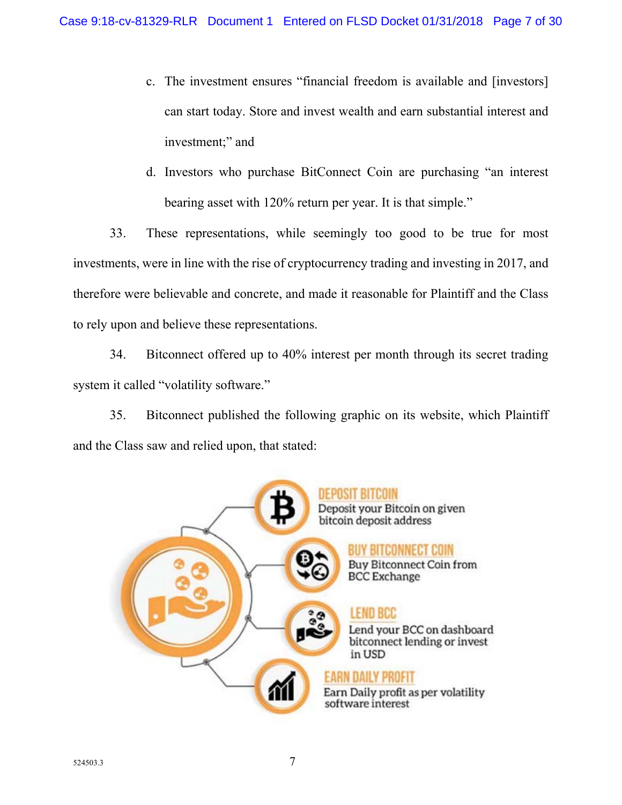- c. The investment ensures "financial freedom is available and [investors] can start today. Store and invest wealth and earn substantial interest and investment;" and
- d. Investors who purchase BitConnect Coin are purchasing "an interest bearing asset with 120% return per year. It is that simple."

33. These representations, while seemingly too good to be true for most investments, were in line with the rise of cryptocurrency trading and investing in 2017, and therefore were believable and concrete, and made it reasonable for Plaintiff and the Class to rely upon and believe these representations.

34. Bitconnect offered up to 40% interest per month through its secret trading system it called "volatility software."

35. Bitconnect published the following graphic on its website, which Plaintiff and the Class saw and relied upon, that stated:

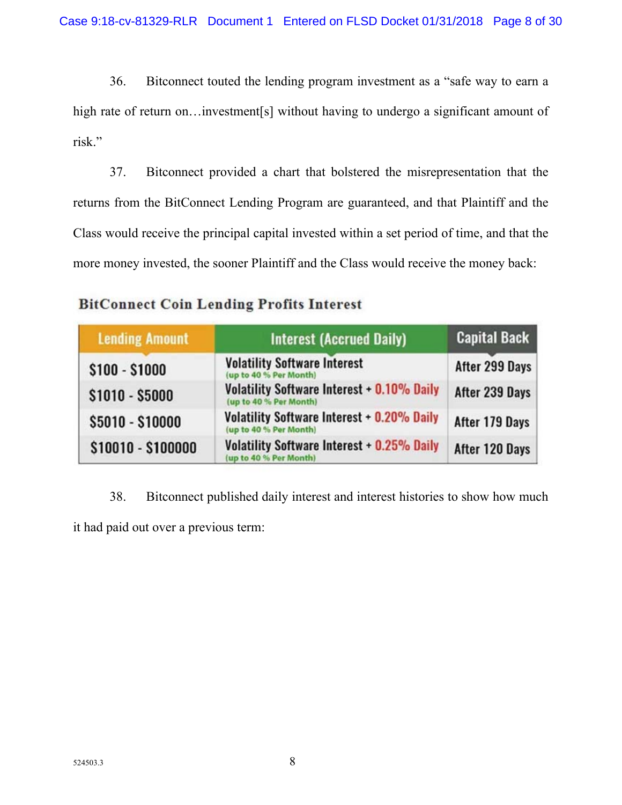36. Bitconnect touted the lending program investment as a "safe way to earn a high rate of return on... investment [s] without having to undergo a significant amount of risk."

37. Bitconnect provided a chart that bolstered the misrepresentation that the returns from the BitConnect Lending Program are guaranteed, and that Plaintiff and the Class would receive the principal capital invested within a set period of time, and that the more money invested, the sooner Plaintiff and the Class would receive the money back:

| <b>Lending Amount</b> | <b>Interest (Accrued Daily)</b>                                             | <b>Capital Back</b> |  |
|-----------------------|-----------------------------------------------------------------------------|---------------------|--|
| $$100 - $1000$        | <b>Volatility Software Interest</b><br>(up to 40 % Per Month)               | After 299 Days      |  |
| $$1010 - $5000$       | <b>Volatility Software Interest + 0.10% Daily</b><br>(up to 40 % Per Month) | After 239 Days      |  |
| \$5010 - \$10000      | Volatility Software Interest + 0.20% Daily<br>(up to 40 % Per Month)        | After 179 Days      |  |
| \$10010 - \$100000    | Volatility Software Interest + 0.25% Daily<br>up to 40 % Per Month)         | After 120 Days      |  |

## **BitConnect Coin Lending Profits Interest**

38. Bitconnect published daily interest and interest histories to show how much it had paid out over a previous term: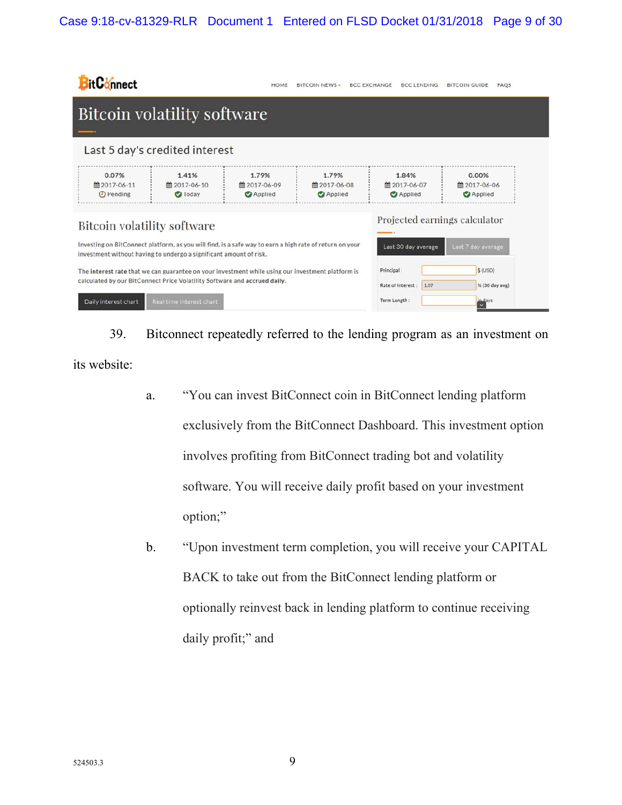## Case 9:18-cv-81329-RLR Document 1 Entered on FLSD Docket 01/31/2018 Page 9 of 30

| <b>BitConnect</b>                                                                                                                                                                                                                                                                                 |                                         | HOME                                    | <b>BITCOIN NEWS -</b>                   | <b>BCC EXCHANGE</b>       | <b>BCC LENDING</b>                      | <b>BITCOIN GUIDE</b><br><b>FAOS</b>     |  |
|---------------------------------------------------------------------------------------------------------------------------------------------------------------------------------------------------------------------------------------------------------------------------------------------------|-----------------------------------------|-----------------------------------------|-----------------------------------------|---------------------------|-----------------------------------------|-----------------------------------------|--|
| <b>Bitcoin volatility software</b>                                                                                                                                                                                                                                                                |                                         |                                         |                                         |                           |                                         |                                         |  |
|                                                                                                                                                                                                                                                                                                   | Last 5 day's credited interest          |                                         |                                         |                           |                                         |                                         |  |
| 0.07%<br>■ 2017-06-11<br><b>O</b> Pending                                                                                                                                                                                                                                                         | 1.41%<br>■ 2017-06-10<br><b>O</b> Today | 1.79%<br>■ 2017-06-09<br><b>Applied</b> | 1.79%<br>■ 2017-06-08<br><b>Applied</b> |                           | 1.84%<br>■ 2017-06-07<br><b>Applied</b> | 0.00%<br>■ 2017-06-06<br><b>Applied</b> |  |
| Projected earnings calculator<br><b>Bitcoin volatility software</b><br>Investing on BitConnect platform, as you will find, is a safe way to earn a high rate of return on your<br>Last 30 day average<br>Last 7 day average<br>investment without having to undergo a significant amount of risk. |                                         |                                         |                                         |                           |                                         |                                         |  |
| The interest rate that we can guarantee on your investment while using our investment platform is<br>calculated by our BitConnect Price Volatility Software and accrued daily.<br>Daily interest chart<br>Real time interest chart                                                                |                                         |                                         | Principal:<br>Term Length:              | Rate of Interest:<br>1.07 | $$$ (USD)<br>% (30 day avg)<br>indays   |                                         |  |

39. Bitconnect repeatedly referred to the lending program as an investment on its website:

- a. "You can invest BitConnect coin in BitConnect lending platform exclusively from the BitConnect Dashboard. This investment option involves profiting from BitConnect trading bot and volatility software. You will receive daily profit based on your investment option;"
- b. "Upon investment term completion, you will receive your CAPITAL BACK to take out from the BitConnect lending platform or optionally reinvest back in lending platform to continue receiving daily profit;" and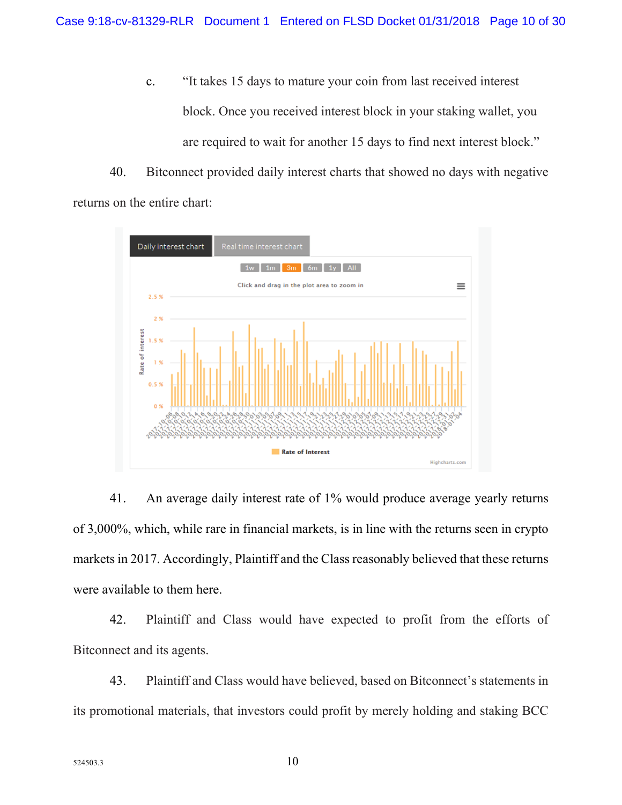c. "It takes 15 days to mature your coin from last received interest block. Once you received interest block in your staking wallet, you are required to wait for another 15 days to find next interest block."

40. Bitconnect provided daily interest charts that showed no days with negative returns on the entire chart:



41. An average daily interest rate of 1% would produce average yearly returns of 3,000%, which, while rare in financial markets, is in line with the returns seen in crypto markets in 2017. Accordingly, Plaintiff and the Class reasonably believed that these returns were available to them here.

42. Plaintiff and Class would have expected to profit from the efforts of Bitconnect and its agents.

43. Plaintiff and Class would have believed, based on Bitconnect's statements in its promotional materials, that investors could profit by merely holding and staking BCC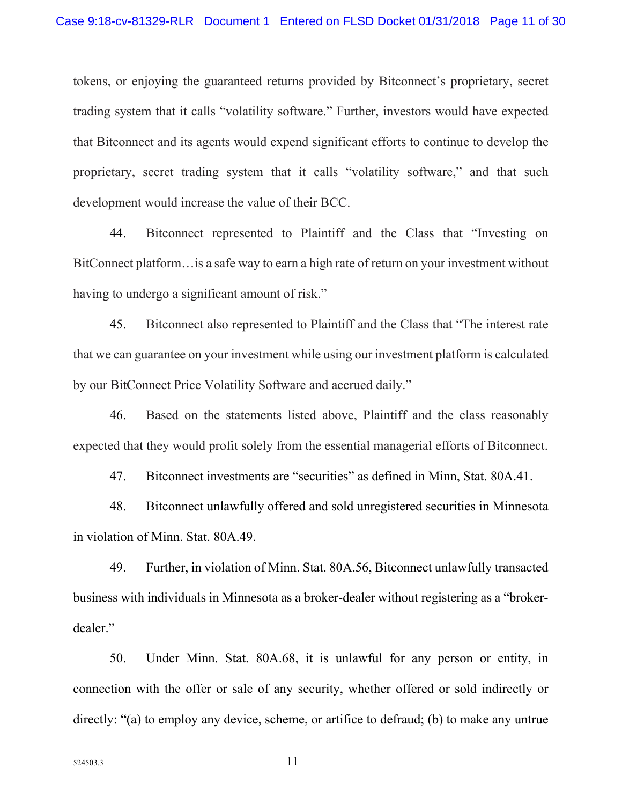tokens, or enjoying the guaranteed returns provided by Bitconnect's proprietary, secret trading system that it calls "volatility software." Further, investors would have expected that Bitconnect and its agents would expend significant efforts to continue to develop the proprietary, secret trading system that it calls "volatility software," and that such development would increase the value of their BCC.

44. Bitconnect represented to Plaintiff and the Class that "Investing on BitConnect platform…is a safe way to earn a high rate of return on your investment without having to undergo a significant amount of risk."

45. Bitconnect also represented to Plaintiff and the Class that "The interest rate that we can guarantee on your investment while using our investment platform is calculated by our BitConnect Price Volatility Software and accrued daily."

46. Based on the statements listed above, Plaintiff and the class reasonably expected that they would profit solely from the essential managerial efforts of Bitconnect.

47. Bitconnect investments are "securities" as defined in Minn, Stat. 80A.41.

48. Bitconnect unlawfully offered and sold unregistered securities in Minnesota in violation of Minn. Stat. 80A.49.

49. Further, in violation of Minn. Stat. 80A.56, Bitconnect unlawfully transacted business with individuals in Minnesota as a broker-dealer without registering as a "brokerdealer."

50. Under Minn. Stat. 80A.68, it is unlawful for any person or entity, in connection with the offer or sale of any security, whether offered or sold indirectly or directly: "(a) to employ any device, scheme, or artifice to defraud; (b) to make any untrue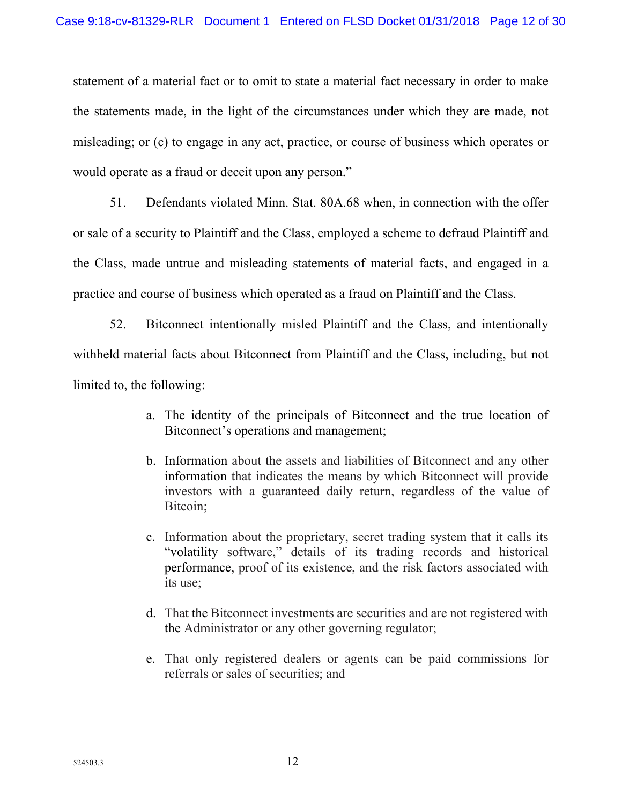statement of a material fact or to omit to state a material fact necessary in order to make the statements made, in the light of the circumstances under which they are made, not misleading; or (c) to engage in any act, practice, or course of business which operates or would operate as a fraud or deceit upon any person."

51. Defendants violated Minn. Stat. 80A.68 when, in connection with the offer or sale of a security to Plaintiff and the Class, employed a scheme to defraud Plaintiff and the Class, made untrue and misleading statements of material facts, and engaged in a practice and course of business which operated as a fraud on Plaintiff and the Class.

52. Bitconnect intentionally misled Plaintiff and the Class, and intentionally withheld material facts about Bitconnect from Plaintiff and the Class, including, but not limited to, the following:

- a. The identity of the principals of Bitconnect and the true location of Bitconnect's operations and management;
- b. Information about the assets and liabilities of Bitconnect and any other information that indicates the means by which Bitconnect will provide investors with a guaranteed daily return, regardless of the value of Bitcoin;
- c. Information about the proprietary, secret trading system that it calls its "volatility software," details of its trading records and historical performance, proof of its existence, and the risk factors associated with its use;
- d. That the Bitconnect investments are securities and are not registered with the Administrator or any other governing regulator;
- e. That only registered dealers or agents can be paid commissions for referrals or sales of securities; and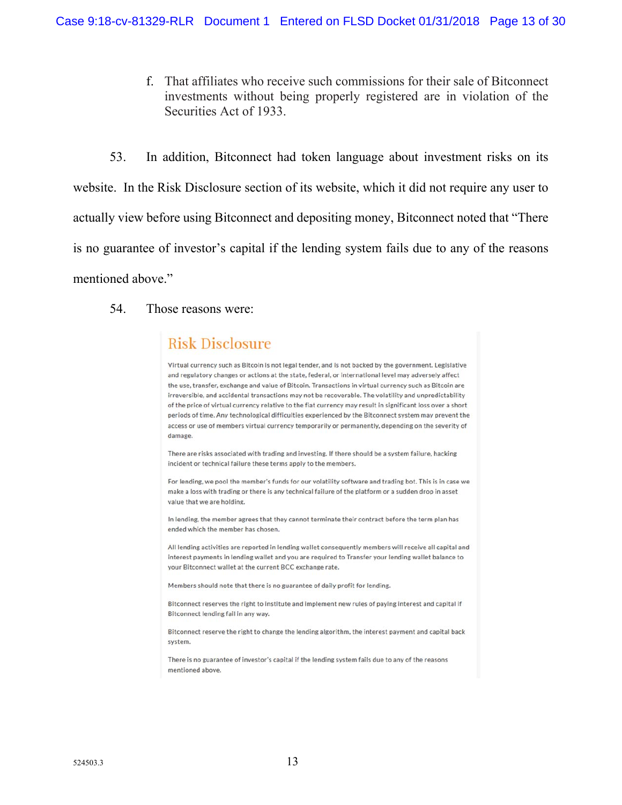f. That affiliates who receive such commissions for their sale of Bitconnect investments without being properly registered are in violation of the Securities Act of 1933.

53. In addition, Bitconnect had token language about investment risks on its website. In the Risk Disclosure section of its website, which it did not require any user to actually view before using Bitconnect and depositing money, Bitconnect noted that "There is no guarantee of investor's capital if the lending system fails due to any of the reasons mentioned above."

#### 54. Those reasons were:

## **Risk Disclosure**

Virtual currency such as Bitcoin is not legal tender, and is not backed by the government. Legislative and regulatory changes or actions at the state, federal, or international level may adversely affect the use, transfer, exchange and value of Bitcoin. Transactions in virtual currency such as Bitcoin are irreversible, and accidental transactions may not be recoverable. The volatility and unpredictability of the price of virtual currency relative to the fiat currency may result in significant loss over a short periods of time. Any technological difficulties experienced by the Bitconnect system may prevent the access or use of members virtual currency temporarily or permanently, depending on the severity of damage.

There are risks associated with trading and investing. If there should be a system failure, hacking incident or technical failure these terms apply to the members.

For lending, we pool the member's funds for our volatility software and trading bot. This is in case we make a loss with trading or there is any technical failure of the platform or a sudden drop in asset value that we are holding.

In lending, the member agrees that they cannot terminate their contract before the term plan has ended which the member has chosen.

All lending activities are reported in lending wallet consequently members will receive all capital and interest payments in lending wallet and you are required to Transfer your lending wallet balance to your Bitconnect wallet at the current BCC exchange rate.

Members should note that there is no guarantee of daily profit for lending.

Bitconnect reserves the right to institute and implement new rules of paying interest and capital if Bitconnect lending fail in any way.

Bitconnect reserve the right to change the lending algorithm, the interest payment and capital back system.

There is no guarantee of investor's capital if the lending system fails due to any of the reasons mentioned above.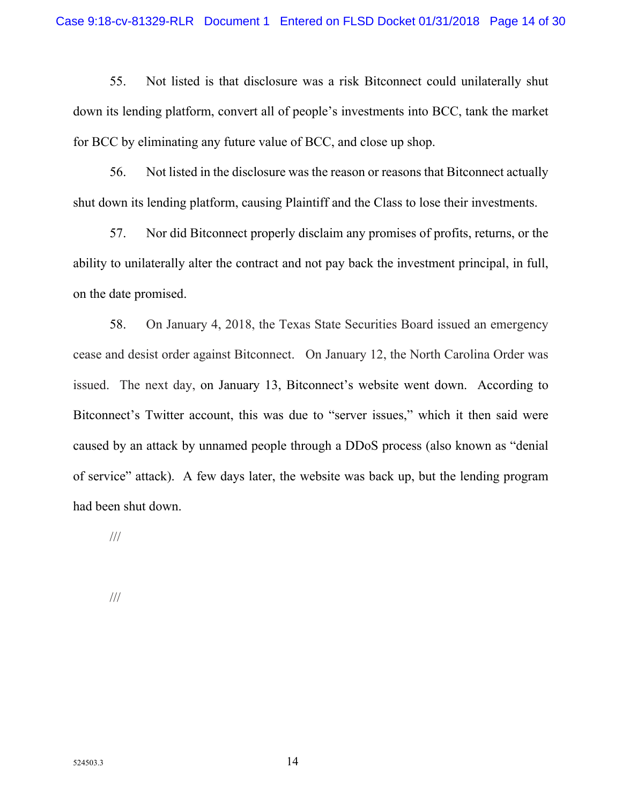55. Not listed is that disclosure was a risk Bitconnect could unilaterally shut down its lending platform, convert all of people's investments into BCC, tank the market for BCC by eliminating any future value of BCC, and close up shop.

56. Not listed in the disclosure was the reason or reasons that Bitconnect actually shut down its lending platform, causing Plaintiff and the Class to lose their investments.

57. Nor did Bitconnect properly disclaim any promises of profits, returns, or the ability to unilaterally alter the contract and not pay back the investment principal, in full, on the date promised.

58. On January 4, 2018, the Texas State Securities Board issued an emergency cease and desist order against Bitconnect. On January 12, the North Carolina Order was issued. The next day, on January 13, Bitconnect's website went down. According to Bitconnect's Twitter account, this was due to "server issues," which it then said were caused by an attack by unnamed people through a DDoS process (also known as "denial of service" attack). A few days later, the website was back up, but the lending program had been shut down.

///

///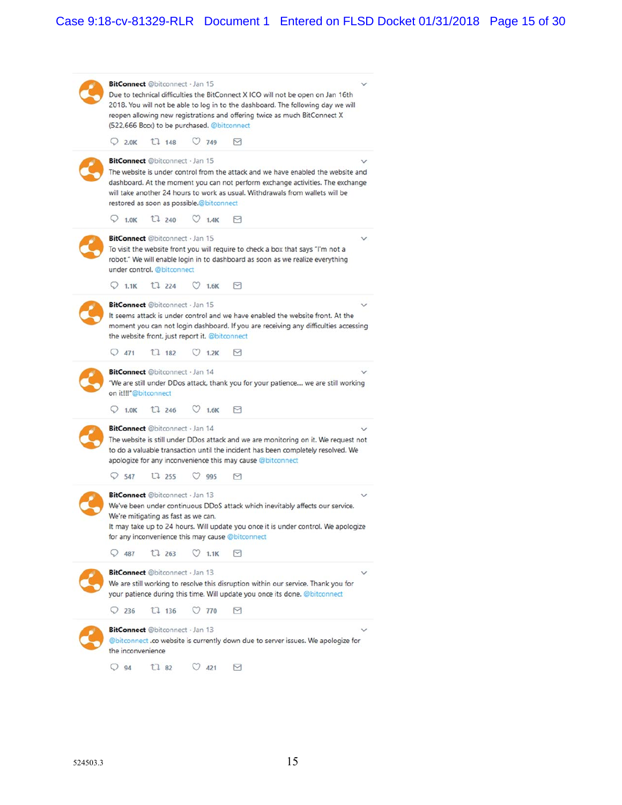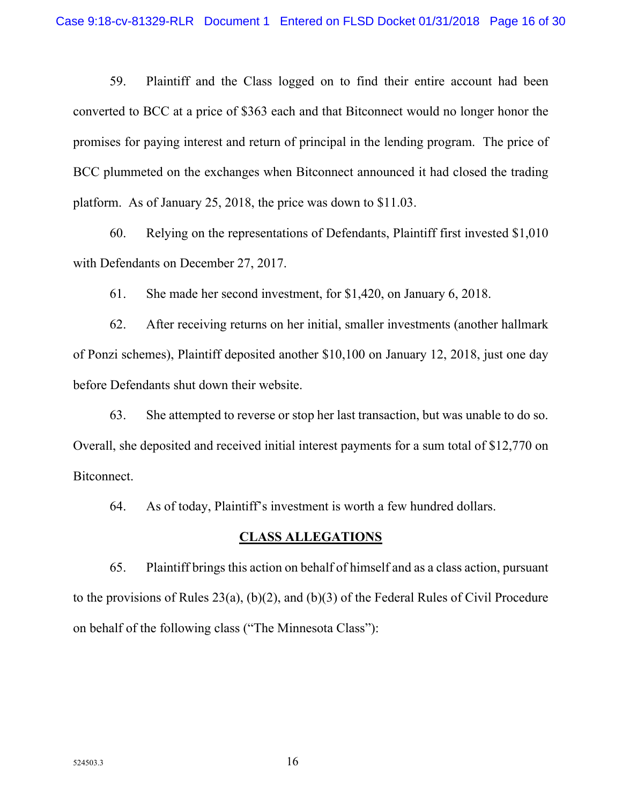59. Plaintiff and the Class logged on to find their entire account had been converted to BCC at a price of \$363 each and that Bitconnect would no longer honor the promises for paying interest and return of principal in the lending program. The price of BCC plummeted on the exchanges when Bitconnect announced it had closed the trading platform. As of January 25, 2018, the price was down to \$11.03.

60. Relying on the representations of Defendants, Plaintiff first invested \$1,010 with Defendants on December 27, 2017.

61. She made her second investment, for \$1,420, on January 6, 2018.

62. After receiving returns on her initial, smaller investments (another hallmark of Ponzi schemes), Plaintiff deposited another \$10,100 on January 12, 2018, just one day before Defendants shut down their website.

63. She attempted to reverse or stop her last transaction, but was unable to do so. Overall, she deposited and received initial interest payments for a sum total of \$12,770 on Bitconnect.

64. As of today, Plaintiff's investment is worth a few hundred dollars.

#### **CLASS ALLEGATIONS**

65. Plaintiff brings this action on behalf of himself and as a class action, pursuant to the provisions of Rules 23(a), (b)(2), and (b)(3) of the Federal Rules of Civil Procedure on behalf of the following class ("The Minnesota Class"):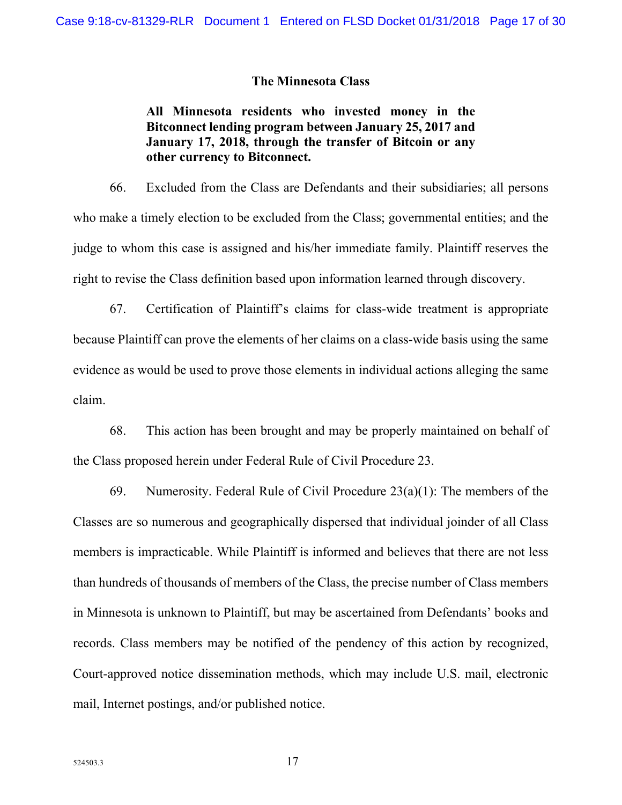#### **The Minnesota Class**

**All Minnesota residents who invested money in the Bitconnect lending program between January 25, 2017 and January 17, 2018, through the transfer of Bitcoin or any other currency to Bitconnect.** 

66. Excluded from the Class are Defendants and their subsidiaries; all persons who make a timely election to be excluded from the Class; governmental entities; and the judge to whom this case is assigned and his/her immediate family. Plaintiff reserves the right to revise the Class definition based upon information learned through discovery.

67. Certification of Plaintiff's claims for class-wide treatment is appropriate because Plaintiff can prove the elements of her claims on a class-wide basis using the same evidence as would be used to prove those elements in individual actions alleging the same claim.

68. This action has been brought and may be properly maintained on behalf of the Class proposed herein under Federal Rule of Civil Procedure 23.

69. Numerosity. Federal Rule of Civil Procedure  $23(a)(1)$ : The members of the Classes are so numerous and geographically dispersed that individual joinder of all Class members is impracticable. While Plaintiff is informed and believes that there are not less than hundreds of thousands of members of the Class, the precise number of Class members in Minnesota is unknown to Plaintiff, but may be ascertained from Defendants' books and records. Class members may be notified of the pendency of this action by recognized, Court-approved notice dissemination methods, which may include U.S. mail, electronic mail, Internet postings, and/or published notice.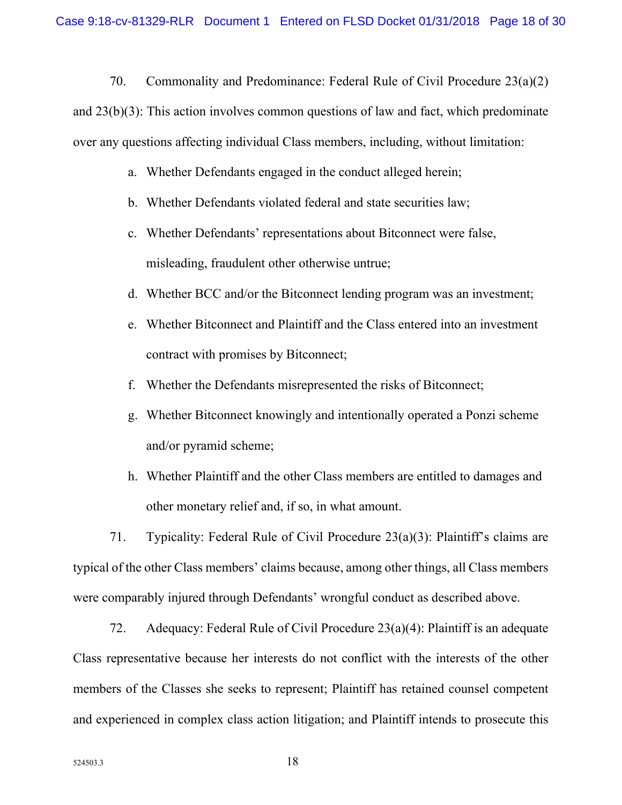70. Commonality and Predominance: Federal Rule of Civil Procedure 23(a)(2)

and 23(b)(3): This action involves common questions of law and fact, which predominate over any questions affecting individual Class members, including, without limitation:

- a. Whether Defendants engaged in the conduct alleged herein;
- b. Whether Defendants violated federal and state securities law;
- c. Whether Defendants' representations about Bitconnect were false, misleading, fraudulent other otherwise untrue;
- d. Whether BCC and/or the Bitconnect lending program was an investment;
- e. Whether Bitconnect and Plaintiff and the Class entered into an investment contract with promises by Bitconnect;
- f. Whether the Defendants misrepresented the risks of Bitconnect;
- g. Whether Bitconnect knowingly and intentionally operated a Ponzi scheme and/or pyramid scheme;
- h. Whether Plaintiff and the other Class members are entitled to damages and other monetary relief and, if so, in what amount.

71. Typicality: Federal Rule of Civil Procedure 23(a)(3): Plaintiff's claims are typical of the other Class members' claims because, among other things, all Class members were comparably injured through Defendants' wrongful conduct as described above.

72. Adequacy: Federal Rule of Civil Procedure 23(a)(4): Plaintiff is an adequate Class representative because her interests do not conflict with the interests of the other members of the Classes she seeks to represent; Plaintiff has retained counsel competent and experienced in complex class action litigation; and Plaintiff intends to prosecute this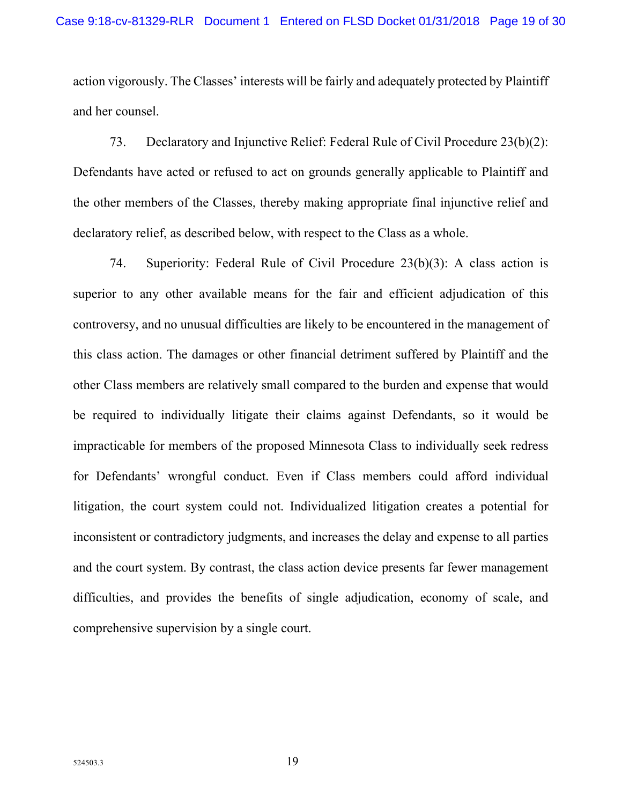action vigorously. The Classes' interests will be fairly and adequately protected by Plaintiff and her counsel.

73. Declaratory and Injunctive Relief: Federal Rule of Civil Procedure 23(b)(2): Defendants have acted or refused to act on grounds generally applicable to Plaintiff and the other members of the Classes, thereby making appropriate final injunctive relief and declaratory relief, as described below, with respect to the Class as a whole.

74. Superiority: Federal Rule of Civil Procedure 23(b)(3): A class action is superior to any other available means for the fair and efficient adjudication of this controversy, and no unusual difficulties are likely to be encountered in the management of this class action. The damages or other financial detriment suffered by Plaintiff and the other Class members are relatively small compared to the burden and expense that would be required to individually litigate their claims against Defendants, so it would be impracticable for members of the proposed Minnesota Class to individually seek redress for Defendants' wrongful conduct. Even if Class members could afford individual litigation, the court system could not. Individualized litigation creates a potential for inconsistent or contradictory judgments, and increases the delay and expense to all parties and the court system. By contrast, the class action device presents far fewer management difficulties, and provides the benefits of single adjudication, economy of scale, and comprehensive supervision by a single court.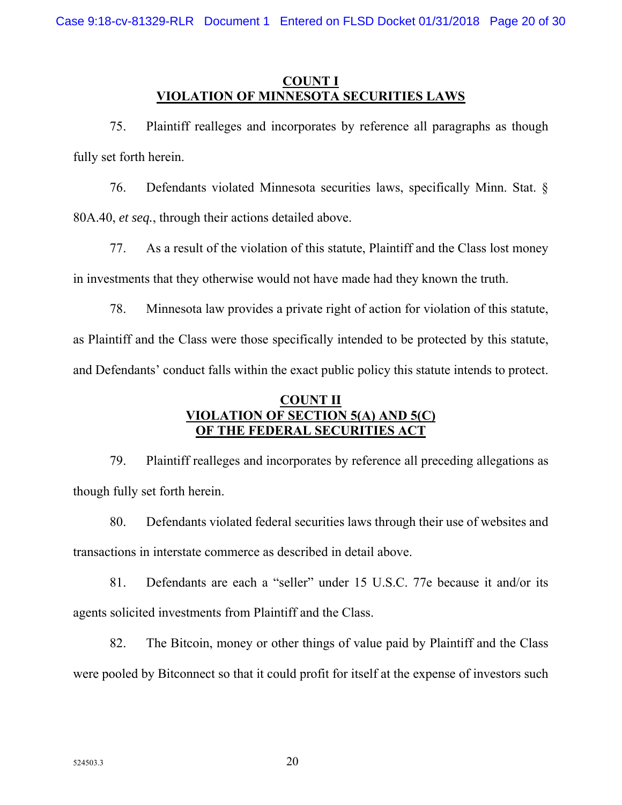## **COUNT I VIOLATION OF MINNESOTA SECURITIES LAWS**

75. Plaintiff realleges and incorporates by reference all paragraphs as though fully set forth herein.

76. Defendants violated Minnesota securities laws, specifically Minn. Stat. § 80A.40, *et seq.*, through their actions detailed above.

77. As a result of the violation of this statute, Plaintiff and the Class lost money in investments that they otherwise would not have made had they known the truth.

78. Minnesota law provides a private right of action for violation of this statute, as Plaintiff and the Class were those specifically intended to be protected by this statute, and Defendants' conduct falls within the exact public policy this statute intends to protect.

## **COUNT II VIOLATION OF SECTION 5(A) AND 5(C) OF THE FEDERAL SECURITIES ACT**

79. Plaintiff realleges and incorporates by reference all preceding allegations as though fully set forth herein.

80. Defendants violated federal securities laws through their use of websites and transactions in interstate commerce as described in detail above.

81. Defendants are each a "seller" under 15 U.S.C. 77e because it and/or its agents solicited investments from Plaintiff and the Class.

82. The Bitcoin, money or other things of value paid by Plaintiff and the Class were pooled by Bitconnect so that it could profit for itself at the expense of investors such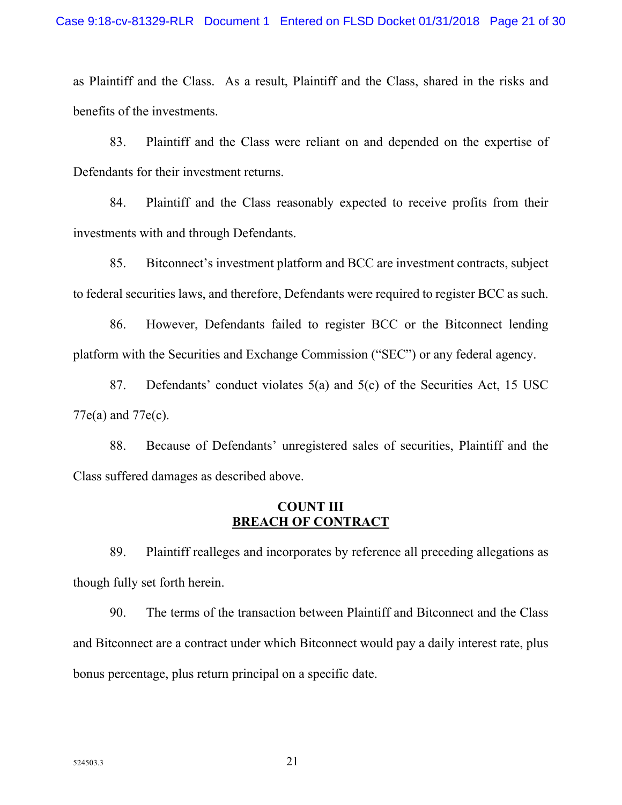as Plaintiff and the Class. As a result, Plaintiff and the Class, shared in the risks and benefits of the investments.

83. Plaintiff and the Class were reliant on and depended on the expertise of Defendants for their investment returns.

84. Plaintiff and the Class reasonably expected to receive profits from their investments with and through Defendants.

85. Bitconnect's investment platform and BCC are investment contracts, subject to federal securities laws, and therefore, Defendants were required to register BCC as such.

86. However, Defendants failed to register BCC or the Bitconnect lending platform with the Securities and Exchange Commission ("SEC") or any federal agency.

87. Defendants' conduct violates 5(a) and 5(c) of the Securities Act, 15 USC 77e(a) and 77e(c).

88. Because of Defendants' unregistered sales of securities, Plaintiff and the Class suffered damages as described above.

## **COUNT III BREACH OF CONTRACT**

89. Plaintiff realleges and incorporates by reference all preceding allegations as though fully set forth herein.

90. The terms of the transaction between Plaintiff and Bitconnect and the Class and Bitconnect are a contract under which Bitconnect would pay a daily interest rate, plus bonus percentage, plus return principal on a specific date.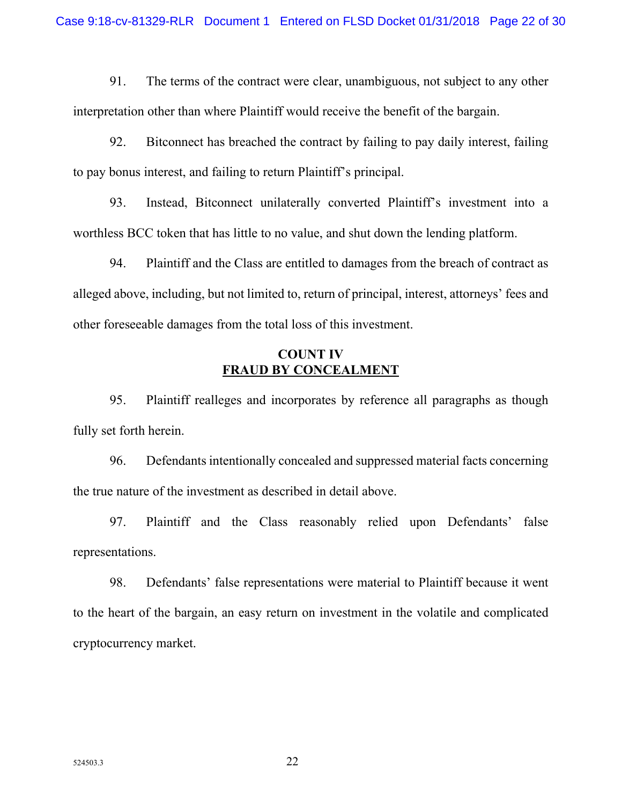91. The terms of the contract were clear, unambiguous, not subject to any other interpretation other than where Plaintiff would receive the benefit of the bargain.

92. Bitconnect has breached the contract by failing to pay daily interest, failing to pay bonus interest, and failing to return Plaintiff's principal.

93. Instead, Bitconnect unilaterally converted Plaintiff's investment into a worthless BCC token that has little to no value, and shut down the lending platform.

94. Plaintiff and the Class are entitled to damages from the breach of contract as alleged above, including, but not limited to, return of principal, interest, attorneys' fees and other foreseeable damages from the total loss of this investment.

## **COUNT IV FRAUD BY CONCEALMENT**

95. Plaintiff realleges and incorporates by reference all paragraphs as though fully set forth herein.

96. Defendants intentionally concealed and suppressed material facts concerning the true nature of the investment as described in detail above.

97. Plaintiff and the Class reasonably relied upon Defendants' false representations.

98. Defendants' false representations were material to Plaintiff because it went to the heart of the bargain, an easy return on investment in the volatile and complicated cryptocurrency market.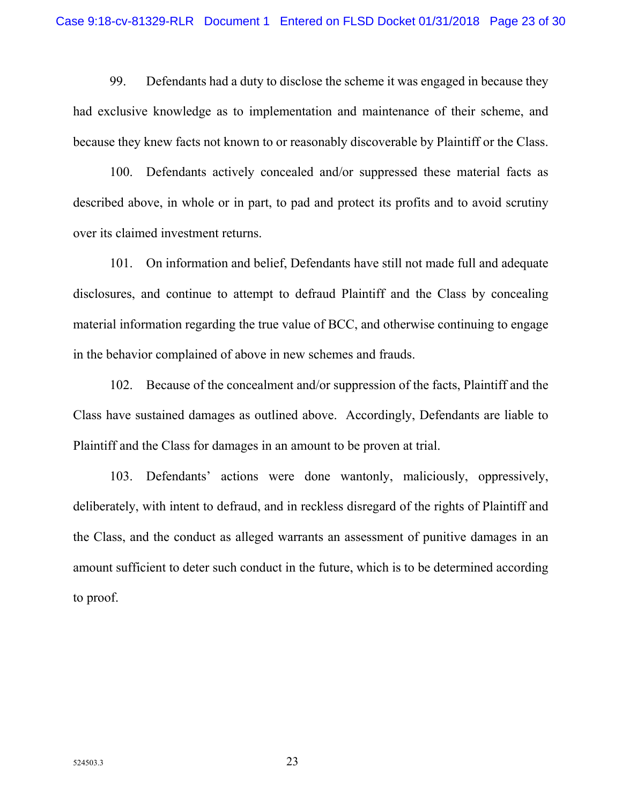99. Defendants had a duty to disclose the scheme it was engaged in because they had exclusive knowledge as to implementation and maintenance of their scheme, and because they knew facts not known to or reasonably discoverable by Plaintiff or the Class.

100. Defendants actively concealed and/or suppressed these material facts as described above, in whole or in part, to pad and protect its profits and to avoid scrutiny over its claimed investment returns.

101. On information and belief, Defendants have still not made full and adequate disclosures, and continue to attempt to defraud Plaintiff and the Class by concealing material information regarding the true value of BCC, and otherwise continuing to engage in the behavior complained of above in new schemes and frauds.

102. Because of the concealment and/or suppression of the facts, Plaintiff and the Class have sustained damages as outlined above. Accordingly, Defendants are liable to Plaintiff and the Class for damages in an amount to be proven at trial.

103. Defendants' actions were done wantonly, maliciously, oppressively, deliberately, with intent to defraud, and in reckless disregard of the rights of Plaintiff and the Class, and the conduct as alleged warrants an assessment of punitive damages in an amount sufficient to deter such conduct in the future, which is to be determined according to proof.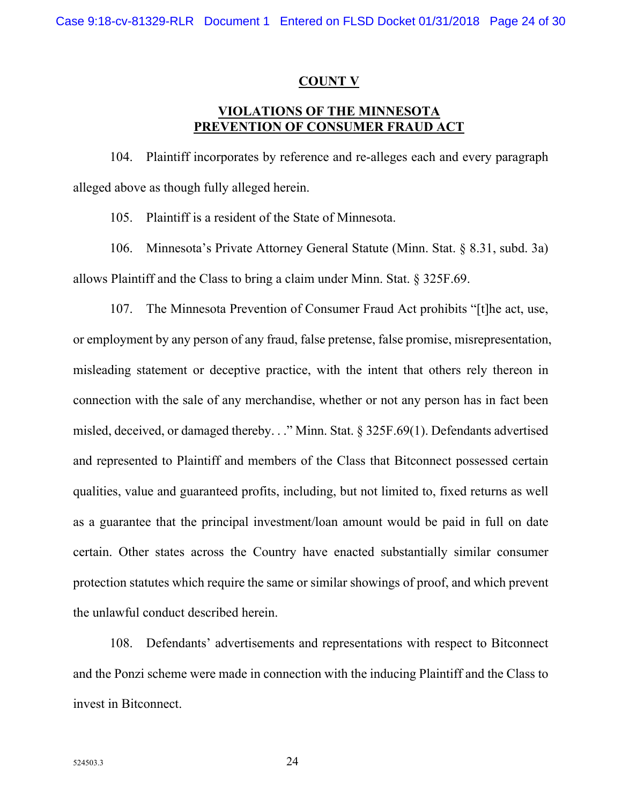#### **COUNT V**

## **VIOLATIONS OF THE MINNESOTA PREVENTION OF CONSUMER FRAUD ACT**

104. Plaintiff incorporates by reference and re-alleges each and every paragraph alleged above as though fully alleged herein.

105. Plaintiff is a resident of the State of Minnesota.

106. Minnesota's Private Attorney General Statute (Minn. Stat. § 8.31, subd. 3a) allows Plaintiff and the Class to bring a claim under Minn. Stat. § 325F.69.

107. The Minnesota Prevention of Consumer Fraud Act prohibits "[t]he act, use, or employment by any person of any fraud, false pretense, false promise, misrepresentation, misleading statement or deceptive practice, with the intent that others rely thereon in connection with the sale of any merchandise, whether or not any person has in fact been misled, deceived, or damaged thereby. . ." Minn. Stat. § 325F.69(1). Defendants advertised and represented to Plaintiff and members of the Class that Bitconnect possessed certain qualities, value and guaranteed profits, including, but not limited to, fixed returns as well as a guarantee that the principal investment/loan amount would be paid in full on date certain. Other states across the Country have enacted substantially similar consumer protection statutes which require the same or similar showings of proof, and which prevent the unlawful conduct described herein.

108. Defendants' advertisements and representations with respect to Bitconnect and the Ponzi scheme were made in connection with the inducing Plaintiff and the Class to invest in Bitconnect.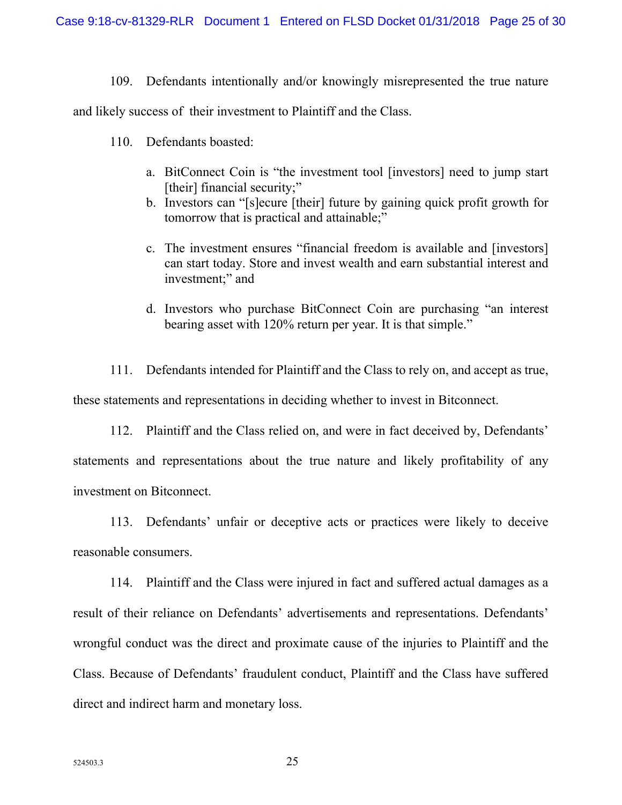109. Defendants intentionally and/or knowingly misrepresented the true nature

and likely success of their investment to Plaintiff and the Class.

- 110. Defendants boasted:
	- a. BitConnect Coin is "the investment tool [investors] need to jump start [their] financial security;"
	- b. Investors can "[s]ecure [their] future by gaining quick profit growth for tomorrow that is practical and attainable;"
	- c. The investment ensures "financial freedom is available and [investors] can start today. Store and invest wealth and earn substantial interest and investment;" and
	- d. Investors who purchase BitConnect Coin are purchasing "an interest bearing asset with 120% return per year. It is that simple."

111. Defendants intended for Plaintiff and the Class to rely on, and accept as true, these statements and representations in deciding whether to invest in Bitconnect.

112. Plaintiff and the Class relied on, and were in fact deceived by, Defendants' statements and representations about the true nature and likely profitability of any investment on Bitconnect.

113. Defendants' unfair or deceptive acts or practices were likely to deceive reasonable consumers.

114. Plaintiff and the Class were injured in fact and suffered actual damages as a result of their reliance on Defendants' advertisements and representations. Defendants' wrongful conduct was the direct and proximate cause of the injuries to Plaintiff and the Class. Because of Defendants' fraudulent conduct, Plaintiff and the Class have suffered direct and indirect harm and monetary loss.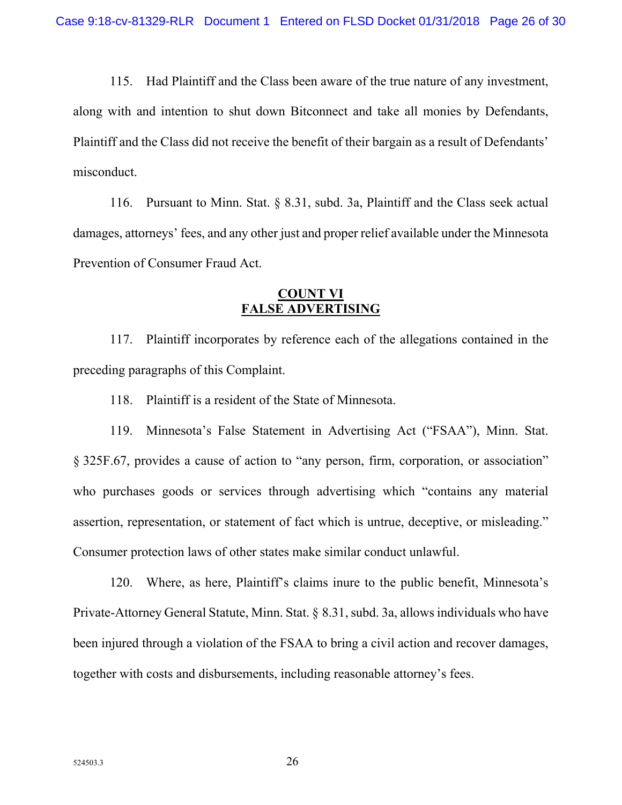115. Had Plaintiff and the Class been aware of the true nature of any investment, along with and intention to shut down Bitconnect and take all monies by Defendants, Plaintiff and the Class did not receive the benefit of their bargain as a result of Defendants' misconduct.

116. Pursuant to Minn. Stat. § 8.31, subd. 3a, Plaintiff and the Class seek actual damages, attorneys' fees, and any other just and proper relief available under the Minnesota Prevention of Consumer Fraud Act.

#### **COUNT VI FALSE ADVERTISING**

117. Plaintiff incorporates by reference each of the allegations contained in the preceding paragraphs of this Complaint.

118. Plaintiff is a resident of the State of Minnesota.

119. Minnesota's False Statement in Advertising Act ("FSAA"), Minn. Stat. § 325F.67, provides a cause of action to "any person, firm, corporation, or association" who purchases goods or services through advertising which "contains any material assertion, representation, or statement of fact which is untrue, deceptive, or misleading." Consumer protection laws of other states make similar conduct unlawful.

120. Where, as here, Plaintiff's claims inure to the public benefit, Minnesota's Private-Attorney General Statute, Minn. Stat. § 8.31, subd. 3a, allows individuals who have been injured through a violation of the FSAA to bring a civil action and recover damages, together with costs and disbursements, including reasonable attorney's fees.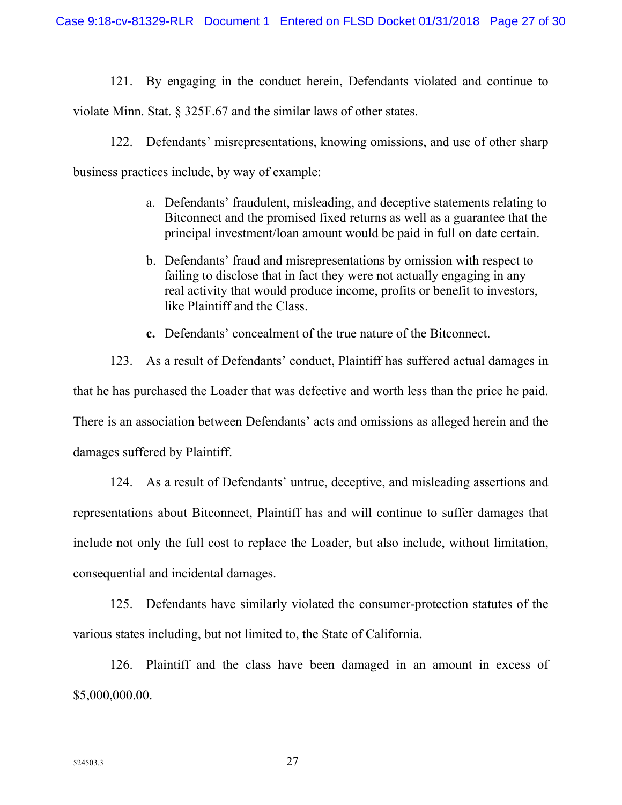121. By engaging in the conduct herein, Defendants violated and continue to

violate Minn. Stat. § 325F.67 and the similar laws of other states.

122. Defendants' misrepresentations, knowing omissions, and use of other sharp

business practices include, by way of example:

- a. Defendants' fraudulent, misleading, and deceptive statements relating to Bitconnect and the promised fixed returns as well as a guarantee that the principal investment/loan amount would be paid in full on date certain.
- b. Defendants' fraud and misrepresentations by omission with respect to failing to disclose that in fact they were not actually engaging in any real activity that would produce income, profits or benefit to investors, like Plaintiff and the Class.
- **c.** Defendants' concealment of the true nature of the Bitconnect.

123. As a result of Defendants' conduct, Plaintiff has suffered actual damages in that he has purchased the Loader that was defective and worth less than the price he paid. There is an association between Defendants' acts and omissions as alleged herein and the damages suffered by Plaintiff.

124. As a result of Defendants' untrue, deceptive, and misleading assertions and representations about Bitconnect, Plaintiff has and will continue to suffer damages that include not only the full cost to replace the Loader, but also include, without limitation, consequential and incidental damages.

125. Defendants have similarly violated the consumer-protection statutes of the various states including, but not limited to, the State of California.

126. Plaintiff and the class have been damaged in an amount in excess of \$5,000,000.00.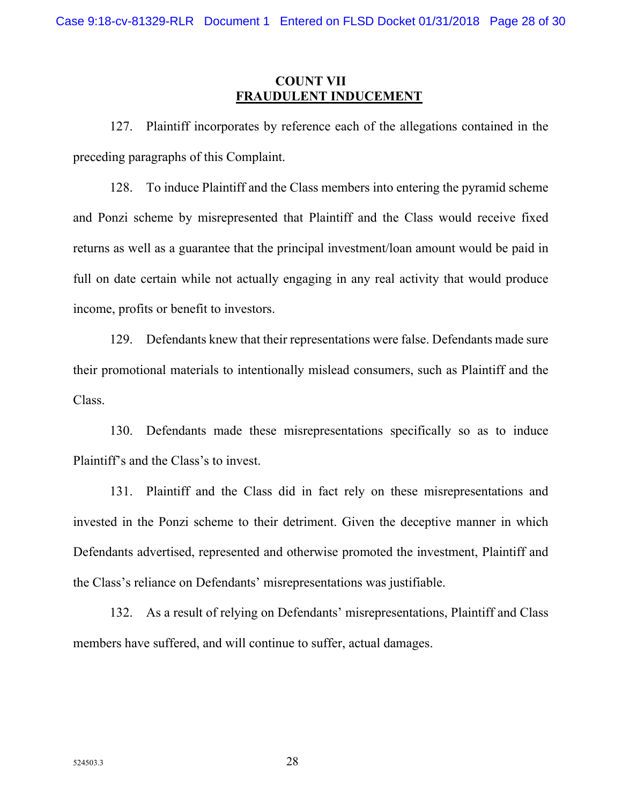## **COUNT VII FRAUDULENT INDUCEMENT**

127. Plaintiff incorporates by reference each of the allegations contained in the preceding paragraphs of this Complaint.

128. To induce Plaintiff and the Class members into entering the pyramid scheme and Ponzi scheme by misrepresented that Plaintiff and the Class would receive fixed returns as well as a guarantee that the principal investment/loan amount would be paid in full on date certain while not actually engaging in any real activity that would produce income, profits or benefit to investors.

129. Defendants knew that their representations were false. Defendants made sure their promotional materials to intentionally mislead consumers, such as Plaintiff and the Class.

130. Defendants made these misrepresentations specifically so as to induce Plaintiff's and the Class's to invest.

131. Plaintiff and the Class did in fact rely on these misrepresentations and invested in the Ponzi scheme to their detriment. Given the deceptive manner in which Defendants advertised, represented and otherwise promoted the investment, Plaintiff and the Class's reliance on Defendants' misrepresentations was justifiable.

132. As a result of relying on Defendants' misrepresentations, Plaintiff and Class members have suffered, and will continue to suffer, actual damages.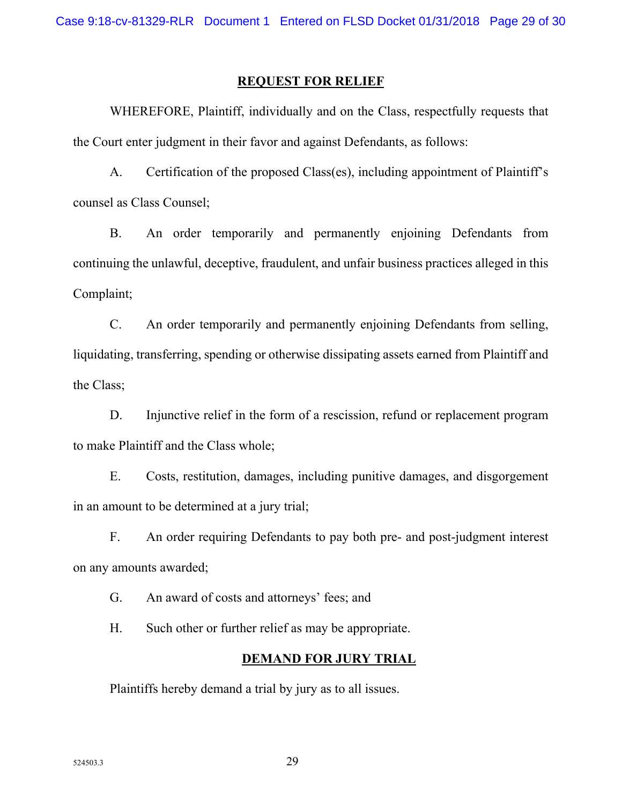#### **REQUEST FOR RELIEF**

WHEREFORE, Plaintiff, individually and on the Class, respectfully requests that the Court enter judgment in their favor and against Defendants, as follows:

A. Certification of the proposed Class(es), including appointment of Plaintiff's counsel as Class Counsel;

B. An order temporarily and permanently enjoining Defendants from continuing the unlawful, deceptive, fraudulent, and unfair business practices alleged in this Complaint;

C. An order temporarily and permanently enjoining Defendants from selling, liquidating, transferring, spending or otherwise dissipating assets earned from Plaintiff and the Class;

D. Injunctive relief in the form of a rescission, refund or replacement program to make Plaintiff and the Class whole;

E. Costs, restitution, damages, including punitive damages, and disgorgement in an amount to be determined at a jury trial;

F. An order requiring Defendants to pay both pre- and post-judgment interest on any amounts awarded;

G. An award of costs and attorneys' fees; and

H. Such other or further relief as may be appropriate.

#### **DEMAND FOR JURY TRIAL**

Plaintiffs hereby demand a trial by jury as to all issues.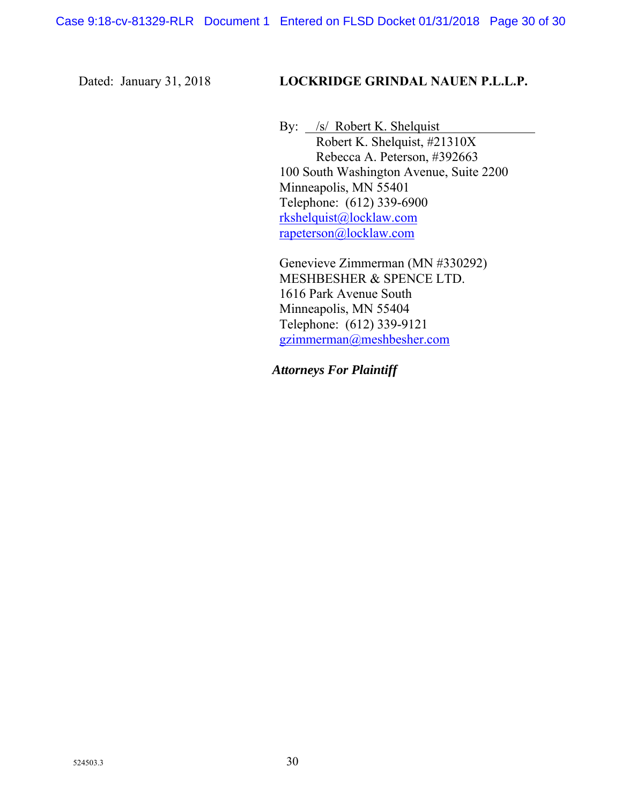## Dated: January 31, 2018 **LOCKRIDGE GRINDAL NAUEN P.L.L.P.**

By: /s/ Robert K. Shelquist Robert K. Shelquist, #21310X Rebecca A. Peterson, #392663 100 South Washington Avenue, Suite 2200 Minneapolis, MN 55401 Telephone: (612) 339-6900 rkshelquist@locklaw.com rapeterson@locklaw.com

 Genevieve Zimmerman (MN #330292) MESHBESHER & SPENCE LTD. 1616 Park Avenue South Minneapolis, MN 55404 Telephone: (612) 339-9121 gzimmerman@meshbesher.com

*Attorneys For Plaintiff*